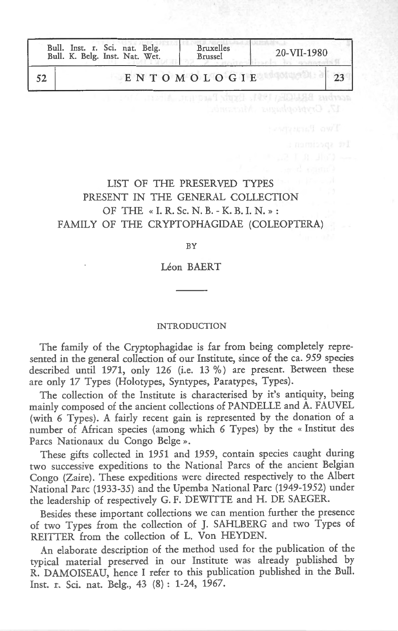| Bull. Inst. r. Sci. nat. Belg.<br>Bull. K. Belg. Inst. Nat. Wet. | <b>Bruxelles</b><br>Brussel | 20-VII-1980 |
|------------------------------------------------------------------|-----------------------------|-------------|
|                                                                  | ENTOMOLOGIE                 |             |
|                                                                  |                             |             |

# LIST OF THE PRESERVED TYPES PRESENT IN THE GENERAL COLLECTION OF THE « I. R. Sc. N. B. - K. B. I. N. » : FAMILY OF THE CRYPTOPHAGIDAE (COLEOPTERA)

BY

Leon BAERT

#### INTRODUCTION

The family of the Cryptophagidae is far from being completely represented in the general collection of our Institute, since of the ea. 959 species described until 1971, only 126 (i.e. 13 %) are present. Between these are only 17 Types (Holotypes, Syntypes, Paratypes, Types).

The collection of the Institute is characterised by it's antiquity, being mainly composed of the ancient collections of PANDELLE and A. FAUVEL (with 6 Types). A fairly recent gain is represented by the donation of a number of African species (among which 6 Types) by the « Institut des Pares Nationaux du Congo Beige ».

These gifts collected in 1951 and 1959, contain species caught during two successive expeditions to the National Pares of the ancient Belgian Congo (Zaire). These expeditions were directed respectively to the Albert National Pare (1933-35) and the Upemba National Pare (1949-1952) under the leadership of respectively G. F. DEWITTE and H. DE SAEGER.

Besides these important collections we can mention further the presence of two Types from the collection of J. SAHLBERG and two Types of REITTER from the collection of L. Von HEYDEN.

An elaborate description of the method used for the publication of the typical material preserved in our Institute was already published by R. DAMOISEAU, hence I refer to this publication published in the Bull. Inst. r. Sci. nat. Belg., 43 (8) : 1-24, 1967.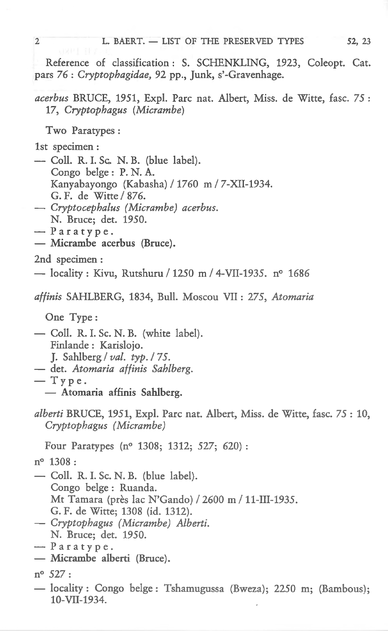Reference of classification : S. SCHENKLING, 1923, Coleopt. Cat. pars 76 : *Cryptophagidae,* 92 pp., Junk, s'-Gravenhage.

## *acerbus* BRUCE, 1951, Exp!. Pare nat. Albert, Miss. de Witte, fasc. 75 : 17, *Cryptophagus (Micrambe)*

Two Paratypes :

lst specimen :

- Coll. R. I. Sc. N. B. (blue label). Congo beige : P. N. A. Kanyabayongo (Kabasha) / 1760 m / 7-XII-1934. G. F. de Witte / 876.
- *Cryptocephalus (Micrambe) acerbus.*  N. Bruce; det. 1950.
- $-$  Paratype.
- Micrambe acerbus (Bruce).

2nd specimen :

 $-$  locality : Kivu, Rutshuru / 1250 m / 4-VII-1935. n° 1686

*affinis* SAHLBERG, 1834, Bull. Moscou VII : 275, *Atomaria* 

One Type:

- Coll. R. I. Sc. N. B. (white label). Finlande : Karislojo. J. Sahlberg *I val. typ. I* 75. - det. *Atomaria affinis Sahlberg.*
- $-$  Type.
	- Atomaria affinis Sahlberg.
- *alberti* BRUCE, 1951, Exp!. Pare nat. Albert, Miss. de Witte, fasc. 75 : 10, *Cryptophagus (Micrambe)*

Four Paratypes (n° 1308; 1312; 527; 620) :

n° 1308 :

- Coll. R. I. Sc. N. B. (blue label). Congo beige : Ruanda. Mt Tamara (près lac N'Gando) / 2600 m / 11-III-1935. G. F. de Witte; 1308 (id. 1312).
- *Cryptophagus (Micrambe) Alberti.*  N. Bruce; det. 1950.

- Micrambe alberti (Bruce).

- locality: Congo beige: Tshamugussa (Bweza); 2250 m; (Bambous); 10-VII-1934.

 $-$  Paratype.

n° 527: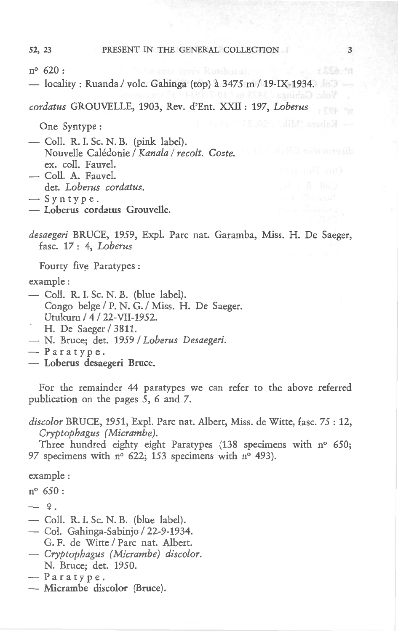#### 52, 23 PRESENT IN THE GENERAL COLLECTION

3

\* SSA An

n° 620:

 $-$  locality: Ruanda / volc. Gahinga (top) à 3475 m / 19-IX-1934.

*cordatus* GROUVELLE, 1903, Rev. d'Ent. XXII: 197, *Loberus* 

One Syntype :

- Coll. R. I. Sc. N. B. (pink label). Nouvelle Caledonie *I Kana/a I recolt. Coste.*  ex. coll. Fauvel.
- Coll. A. Fauvel. det. *Loberus cordatus.*
- $-$  Syntype.
- Loberus cordatus Grouvelle.

desaegeri BRUCE, 1959, Expl. Parc nat. Garamba, Miss. H. De Saeger, fasc. 17 : 4, *Loberus* 

Fourty five Paratype

example:

- $-$  Coll. R. I. Sc. N. B. (blue label). Congo beige *I P.* N. G. *I* Miss. H. De Saeger. Utukuru / 4 / 22-VII-1952.
- H. De Saeger / 3811.
- N. Bruce; det. 1959 *I Loberus Desaegeri.*
- $-$  Paratype.
- Loberus desaegeri Bruce.

For the remainder 44 paratypes we can refer to the above referred publication on the pages 5, 6 and 7.

*discolor* BRUCE, 1951, Expl. Pare nat. Albert, Miss. de Witte, fasc. 75 : 12, *Cryptophagus (Micrambe).* 

Three hundred eighty eight Paratypes (138 specimens with n° 650; 97 specimens with n° 622; 153 specimens with n° 493).

example :

n° 650:

- $-9.$
- $-$  Coll. R. I. Sc. N. B. (blue label).
- Col. Gahinga-Sabinjo / 22-9-1934. G. F. de Witte / Parc nat. Albert.
- $-$  *Cryptophagus (Micrambe) discolor.* N. Bruce; det. 1950.
- Paratype.
- Micrambe discolor (Bruce).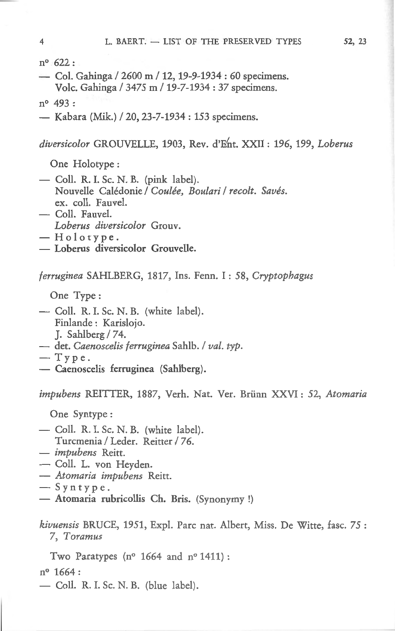n° 622 :

- $\sim$  Col. Gahinga / 2600 m / 12, 19-9-1934 : 60 specimens. Volc. Gahinga / 3475 m / 19-7-1934 : 37 specimens.
- n° 493 :
- Kabara (Mik.) / 20, 23-7-1934 : 153 specimens.

*diversicolor* GROUVELLE, 1903, Rev. d'Ent. XXII : 196, 199, *Loberus* 

One Holotype :

- Coll. R. I. Sc. N. B. (pink label). Nouvelle Caledonie *I Coutee, Boulari I recolt. Saves.*  ex. coll. Fauvel.
- Coll. Fauvel.
- *Loberus diversicolor* Grouv.
- $-$  Holotype.
- $-$  Loberus diversicolor Grouvelle.

*ferruginea* SAHLBERG, 1817, Ins. Fenn. I : 58, *Cryptophagus* 

One Type:

- Coll. R. I. Sc. N. B. (white label). Finlande : Karislojo. J. Sahlberg  $/ 74$ .
- det. *Caenoscelis ferruginea* Sahib. *I val. typ.*
- $-$  Type.
- Caenoscelis ferruginea (Sahlberg).

*impubens* REITTER, 1887, Verh. Nat. Ver. Brunn XXVI: 52, *Atomaria* 

One Syntype :

- Coll. R. I. Sc. N. B. (white label). Turcmenia / Leder. Reitter / 76.
- *impubens* Reitt.
- Coll. L. von Heyden.
- *Atomaria impubens* Reitt.
- $-$  Syntype.
- Atomaria rubricollis Ch. Bris. (Synonymy !)

*kivuensis* BRUCE, 1951, Expl. Pare nat. Albert, Miss. De Witte, fasc. 75 : 7, *Toramus* 

Two Paratypes (n° 1664 and n° 1411) :

n<sup>o</sup> 1664:

- Coll. R. I. Sc. N. B. (blue label).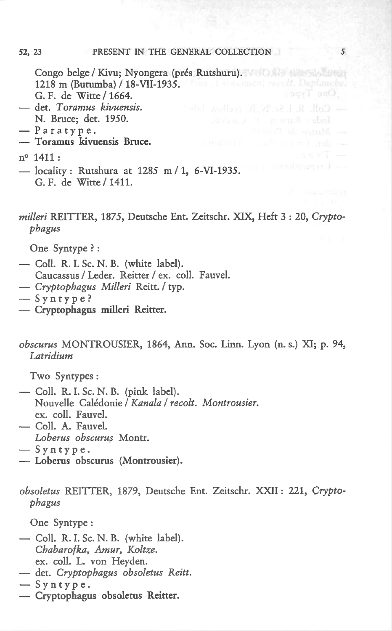#### 52, 23 PRESENT IN THE GENERAL COLLECTION

Congo belge / Kivu; Nyongera (prés Rutshuru). Villa alle alle alle 1218 m (Butumba) / 18-VII-1935. Alter a speciment member Deplane be-G. F. de Witte / 1664.

- det. *Toramus kivuensis.*  N. Bruce; det. 1950.
- $-$  Paratype.
- Toramus kivuensis Bruce.

- $-$  locality: Rutshura at 1285 m/1, 6-VI-1935. G. F. de Witte / 1411.
- *milleri* REITTER, 1875, Deutsche Ent. Zeitschr. XIX, Heft 3 : 20, *Cryptophagus*

*5* 

One Tvoe:

One Syntype ? :

- Coll. R. I. Sc. N. B. (white label).
	- Caucassus / Leder. Reitter / ex. coll. Fauvel.
- *Cryptophagus Milleri* Reitt. *I* typ.
- $-$  Syntype?
- Cryptophagus milleri Reitter.
- *obscurus* MONTROUSIER, 1864, Ann. Soc. Linn. Lyon (n. s.) XI; p. 94, *Latridium*

Two Syntypes :

- Coll. R. I. Sc. N. B. (pink label). Nouvelle Caledonie *I Kana/a I recolt. Montrousier.*  ex. coll. Fauvel.
- Coll. A. Fauvel. Loberus obscurus Montr.
- $-$  Syntype.
- Loberus obscurus (Montrousier).

*obsoletus* REITTER, 1879, Deutsche Ent. Zeitschr. XXII : 221, *Cryptophagus* 

One Syntype :

- Coll. R. I. Sc. N. B. (white label). *Chabarof ka, Amur, Koltze.*  ex. coll. L. von Heyden.
- det. *Cryptophagus obsoletus Reitt.*
- $-$  Syntype.
- Cryptophagus obsoletus Reitter.

n° 1411: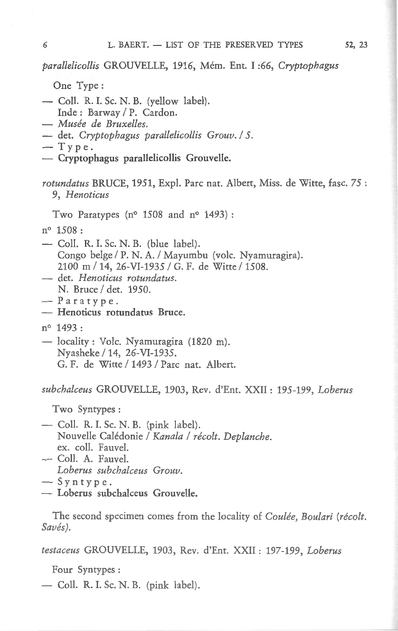*parallelicollis* GROUVELLE, 1916, Mem. Ent. I :66, *Cryptophagus* 

One Type:

- Coll. R. I. Sc. N. B. (yellow label).
- Inde: Barway / P. Cardon.
- *Musee de Bruxelles.*
- det. *Cryptophagus parallelicollis Grouv. I* 5.

 $-$  Type.

- Cryptophagus parallelicollis Grouvelle.

## *rotundatus BRUCE, 1951, Expl. Parc nat. Albert, Miss. de Witte, fasc. 75 :* 9, *Henoticus*

Two Paratypes ( $n^{\circ}$  1508 and  $n^{\circ}$  1493):

n° 1508 :

- $\sim$  Coll. R. I. Sc. N. B. (blue label). Congo belge *I P.* N. A. *I* Mayumbu (vole. Nyamuragira). 2100 m *I* 14, 26-VI-1935 *I* G. F. de Witte *I* 1508.
- det. *Henoticus rotundatus.*  N. Bruce / det. 1950.
- $-$  Paratype.
- Henoticus rotundatus Bruce.

n° 1493:

- locality : Volc. Nyamuragira (1820 m). Nyasheke / 14, 26-VI-1935. G. F. de Witte / 1493 / Parc nat. Albert.

*subchalceus* GROUVELLE, 1903, Rev. d'Ent. XXII: 195-199, *Loberus* 

Two Syntypes :

- Coll. R. I. Sc. N. B. (pink label). Nouvelle Calédonie / Kanala / récolt. Deplanche. ex. coll. Fauvel.
- Coll. A. Fauvel. *Loberus subchalceus Grouv.*

- Loberus subchalceus Grouvelle.

The second specimen comes from the locality of *Coulee, Boulari (recolt. Saves).* 

*testaceus* GROUVELLE, 1903, Rev. d'Ent. XXII: 197-199, *Loberus* 

Four Syntypes :

 $-$  Coll. R. I. Sc. N. B. (pink label).

 $\sim$  Syntype.